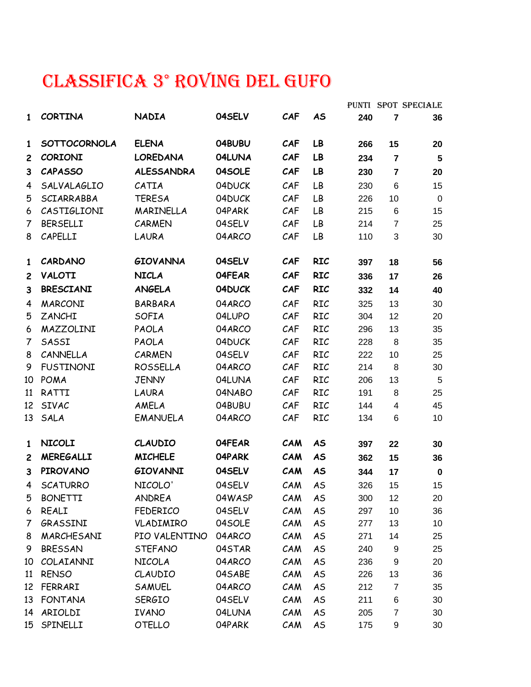## CLASSIFICA 3° ROVING DEL GUFO

|                |                     |                   |        |            |                |     |                | PUNTI SPOT SPECIALE |
|----------------|---------------------|-------------------|--------|------------|----------------|-----|----------------|---------------------|
| $\mathbf{1}$   | <b>CORTINA</b>      | <b>NADIA</b>      | 04SELV | CAF        | <b>AS</b>      | 240 | $\overline{7}$ | 36                  |
| $\mathbf{1}$   | <b>SOTTOCORNOLA</b> | <b>ELENA</b>      | 04BUBU | CAF        | LB             | 266 | 15             | 20                  |
| $\overline{c}$ | <b>CORIONI</b>      | <b>LOREDANA</b>   | 04LUNA | CAF        | LB             | 234 | $\overline{7}$ | 5                   |
| 3              | <b>CAPASSO</b>      | <b>ALESSANDRA</b> | 04SOLE | CAF        | LB             | 230 | $\overline{7}$ | 20                  |
| 4              | SALVALAGLIO         | CATIA             | 04DUCK | CAF        | LB             | 230 | 6              | 15                  |
| 5              | SCIARRABBA          | <b>TERESA</b>     | 04DUCK | CAF        | LB             | 226 | 10             | $\pmb{0}$           |
| 6              | CASTIGLIONI         | MARINELLA         | 04PARK | CAF        | LB             | 215 | 6              | 15                  |
| 7              | <b>BERSELLI</b>     | <b>CARMEN</b>     | 04SELV | CAF        | LB             | 214 | 7              | 25                  |
| 8              | CAPELLI             | LAURA             | 04ARCO | CAF        | LB             | 110 | 3              | 30                  |
| $\mathbf{1}$   | CARDANO             | <b>GIOVANNA</b>   | 04SELV | CAF        | <b>RIC</b>     | 397 | 18             | 56                  |
| $\overline{c}$ | <b>VALOTI</b>       | <b>NICLA</b>      | 04FEAR | CAF        | <b>RIC</b>     | 336 | 17             | 26                  |
| 3              | <b>BRESCIANI</b>    | <b>ANGELA</b>     | 04DUCK | CAF        | <b>RIC</b>     | 332 | 14             | 40                  |
| 4              | <b>MARCONI</b>      | <b>BARBARA</b>    | 04ARCO | CAF        | <b>RIC</b>     | 325 | 13             | 30                  |
| 5              | ZANCHI              | <b>SOFIA</b>      | 04LUPO | CAF        | <b>RIC</b>     | 304 | 12             | 20                  |
| 6              | MAZZOLINI           | PAOLA             | 04ARCO | CAF        | <b>RIC</b>     | 296 | 13             | 35                  |
| 7              | SASSI               | PAOLA             | 04DUCK | CAF        | <b>RIC</b>     | 228 | 8              | 35                  |
| 8              | CANNELLA            | <b>CARMEN</b>     | 04SELV | CAF        | <b>RIC</b>     | 222 | 10             | 25                  |
| 9              | <b>FUSTINONI</b>    | <b>ROSSELLA</b>   | 04ARCO | CAF        | <b>RIC</b>     | 214 | 8              | 30                  |
| 10             | POMA                | <b>JENNY</b>      | 04LUNA | CAF        | <b>RIC</b>     | 206 | 13             | 5                   |
| 11             | RATTI               | LAURA             | 04NABO | CAF        | RIC            | 191 | 8              | 25                  |
| 12             | <b>SIVAC</b>        | AMELA             | 04BUBU | CAF        | RIC            | 144 | 4              | 45                  |
| 13             | SALA                | <b>EMANUELA</b>   | 04ARCO | CAF        | <b>RIC</b>     | 134 | 6              | 10                  |
| $\mathbf{1}$   | <b>NICOLI</b>       | <b>CLAUDIO</b>    | 04FEAR | <b>CAM</b> | <b>AS</b>      | 397 | 22             | 30                  |
| $\overline{c}$ | <b>MEREGALLI</b>    | <b>MICHELE</b>    | 04PARK | CAM        | <b>AS</b>      | 362 | 15             | 36                  |
| 3              | <b>PIROVANO</b>     | <b>GIOVANNI</b>   | 04SELV | CAM        | AS             | 344 | 17             | $\bf{0}$            |
| 4              | <b>SCATURRO</b>     | NICOLO'           | 04SELV | CAM        | A <sub>S</sub> | 326 | 15             | 15                  |
| 5              | <b>BONETTI</b>      | ANDREA            | 04WASP | CAM        | <b>AS</b>      | 300 | 12             | 20                  |
| 6              | REALI               | <b>FEDERICO</b>   | 04SELV | CAM        | AS             | 297 | 10             | 36                  |
| 7              | GRASSINI            | VLADIMIRO         | 04SOLE | CAM        | AS             | 277 | 13             | 10                  |
| 8              | MARCHESANI          | PIO VALENTINO     | 04ARCO | CAM        | AS             | 271 | 14             | 25                  |
| 9              | <b>BRESSAN</b>      | <b>STEFANO</b>    | 04STAR | CAM        | <b>AS</b>      | 240 | 9              | 25                  |
| 10             | COLAIANNI           | <b>NICOLA</b>     | 04ARCO | CAM        | AS             | 236 | 9              | 20                  |
| 11             | <b>RENSO</b>        | CLAUDIO           | 04SABE | CAM        | <b>AS</b>      | 226 | 13             | 36                  |
| 12             | FERRARI             | <b>SAMUEL</b>     | 04ARCO | CAM        | <b>AS</b>      | 212 | $\overline{7}$ | 35                  |
| 13             | <b>FONTANA</b>      | <b>SERGIO</b>     | 04SELV | CAM        | <b>AS</b>      | 211 | 6              | 30                  |
| 14             | ARIOLDI             | <b>IVANO</b>      | 04LUNA | CAM        | AS             | 205 | $\overline{7}$ | 30                  |
| 15             | SPINELLI            | <b>OTELLO</b>     | 04PARK | CAM        | AS             | 175 | 9              | 30                  |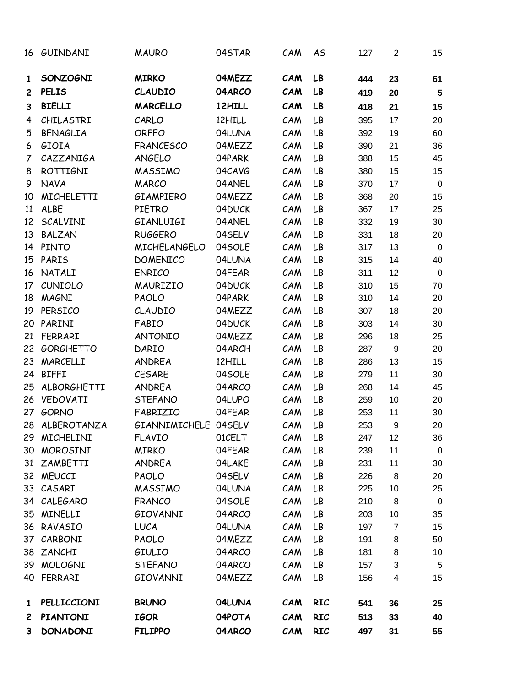| 16             | GUINDANI          | <b>MAURO</b>         | 04STAR | CAM | AS         | 127 | $\overline{2}$ | 15             |
|----------------|-------------------|----------------------|--------|-----|------------|-----|----------------|----------------|
| 1              | SONZOGNI          | <b>MIRKO</b>         | 04MEZZ | CAM | LB         | 444 | 23             | 61             |
| $\mathbf{2}$   | <b>PELIS</b>      | <b>CLAUDIO</b>       | 04ARCO | CAM | LB         | 419 | 20             | $5\phantom{1}$ |
| 3              | <b>BIELLI</b>     | <b>MARCELLO</b>      | 12HILL | CAM | LB         | 418 | 21             | 15             |
| 4              | CHILASTRI         | CARLO                | 12HILL | CAM | LB         | 395 | 17             | 20             |
| 5              | <b>BENAGLIA</b>   | <b>ORFEO</b>         | 04LUNA | CAM | LB         | 392 | 19             | 60             |
| 6              | GIOIA             | <b>FRANCESCO</b>     | 04MEZZ | CAM | LB         | 390 | 21             | 36             |
| $\overline{7}$ | CAZZANIGA         | ANGELO               | 04PARK | CAM | LB         | 388 | 15             | 45             |
| 8              | <b>ROTTIGNI</b>   | <b>MASSIMO</b>       | 04CAVG | CAM | LB         | 380 | 15             | 15             |
| 9              | <b>NAVA</b>       | <b>MARCO</b>         | 04ANEL | CAM | LB         | 370 | 17             | $\mathbf 0$    |
| 10             | <b>MICHELETTI</b> | GIAMPIERO            | 04MEZZ | CAM | LB         | 368 | 20             | 15             |
| 11             | ALBE              | <b>PIETRO</b>        | 04DUCK | CAM | LB         | 367 | 17             | 25             |
| 12             | SCALVINI          | GIANLUIGI            | 04ANEL | CAM | LB         | 332 | 19             | 30             |
| 13             | <b>BALZAN</b>     | <b>RUGGERO</b>       | 04SELV | CAM | LB         | 331 | 18             | 20             |
| 14             | <b>PINTO</b>      | <b>MICHELANGELO</b>  | 04SOLE | CAM | LB         | 317 | 13             | $\mathbf 0$    |
| 15             | PARIS             | <b>DOMENICO</b>      | 04LUNA | CAM | LB         | 315 | 14             | 40             |
| 16             | NATALI            | <b>ENRICO</b>        | 04FEAR | CAM | LB         | 311 | 12             | $\mathbf 0$    |
| 17             | CUNIOLO           | MAURIZIO             | 04DUCK | CAM | LB         | 310 | 15             | 70             |
| 18             | <b>MAGNI</b>      | PAOLO                | 04PARK | CAM | LB         | 310 | 14             | 20             |
| 19             | PERSICO           | CLAUDIO              | 04MEZZ | CAM | LB         | 307 | 18             | 20             |
| 20             | PARINI            | FABIO                | 04DUCK | CAM | LB         | 303 | 14             | 30             |
| 21             | FERRARI           | <b>ANTONIO</b>       | 04MEZZ | CAM | LB         | 296 | 18             | 25             |
| 22             | <b>GORGHETTO</b>  | DARIO                | 04ARCH | CAM | LB         | 287 | 9              | 20             |
| 23             | MARCELLI          | <b>ANDREA</b>        | 12HILL | CAM | LB         | 286 | 13             | 15             |
| 24             | <b>BIFFI</b>      | <b>CESARE</b>        | 04SOLE | CAM | LB         | 279 | 11             | 30             |
| 25             | ALBORGHETTI       | <b>ANDREA</b>        | 04ARCO | CAM | LB         | 268 | 14             | 45             |
| 26             | VEDOVATI          | <b>STEFANO</b>       | 04LUPO | CAM | LB         | 259 | 10             | 20             |
| 27             | <b>GORNO</b>      | FABRIZIO             | 04FEAR | CAM | LB         | 253 | 11             | 30             |
|                | 28 ALBEROTANZA    | GIANNIMICHELE 04SELV |        | CAM | LB         | 253 | 9              | 20             |
| 29             | MICHELINI         | <b>FLAVIO</b>        | 01CELT | CAM | LB         | 247 | 12             | 36             |
| 30             | MOROSINI          | <b>MIRKO</b>         | 04FEAR | CAM | LB         | 239 | 11             | $\pmb{0}$      |
| 31             | ZAMBETTI          | ANDREA               | 04LAKE | CAM | LB         | 231 | 11             | 30             |
|                | 32 MEUCCI         | PAOLO                | 04SELV | CAM | LB         | 226 | 8              | 20             |
|                | 33 CASARI         | <b>MASSIMO</b>       | 04LUNA | CAM | LB         | 225 | 10             | 25             |
|                | 34 CALEGARO       | <b>FRANCO</b>        | 04SOLE | CAM | LB         | 210 | 8              | $\pmb{0}$      |
|                | 35 MINELLI        | GIOVANNI             | 04ARCO | CAM | LB         | 203 | 10             | 35             |
|                | 36 RAVASIO        | <b>LUCA</b>          | 04LUNA | CAM | LB         | 197 | $\overline{7}$ | 15             |
| 37             | CARBONI           | PAOLO                | 04MEZZ | CAM | LB         | 191 | 8              | 50             |
| 38             | ZANCHI            | GIULIO               | 04ARCO | CAM | LB         | 181 | 8              | 10             |
| 39             | MOLOGNI           | <b>STEFANO</b>       | 04ARCO | CAM | LB         | 157 | 3              | 5              |
|                | 40 FERRARI        | GIOVANNI             | 04MEZZ | CAM | LB         | 156 | 4              | 15             |
| $\mathbf{1}$   | PELLICCIONI       | <b>BRUNO</b>         | 04LUNA | CAM | <b>RIC</b> | 541 | 36             | 25             |
| $\mathbf{2}$   | <b>PIANTONI</b>   | <b>IGOR</b>          | 04POTA | CAM | <b>RIC</b> | 513 | 33             | 40             |
| 3              | <b>DONADONI</b>   | <b>FILIPPO</b>       | 04ARCO | CAM | <b>RIC</b> | 497 | 31             | 55             |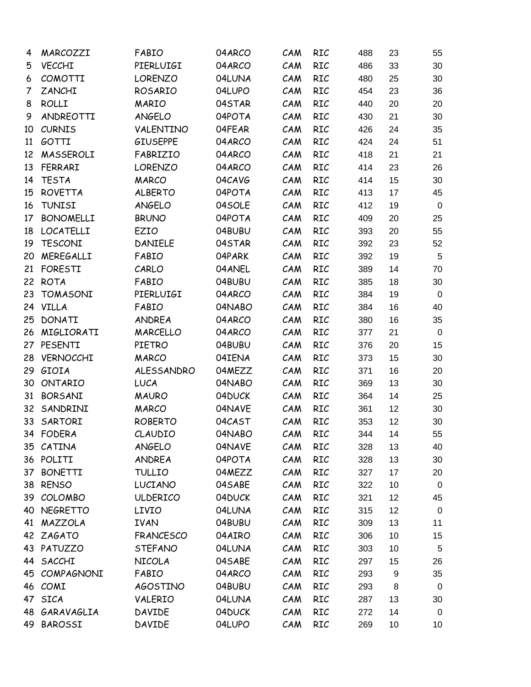| 4  | MARCOZZI         | FABIO            | 04ARCO | CAM | RIC        | 488 | 23 | 55          |
|----|------------------|------------------|--------|-----|------------|-----|----|-------------|
| 5  | <b>VECCHI</b>    | PIERLUIGI        | 04ARCO | CAM | RIC        | 486 | 33 | 30          |
| 6  | <b>COMOTTI</b>   | <b>LORENZO</b>   | 04LUNA | CAM | RIC        | 480 | 25 | 30          |
| 7  | <b>ZANCHI</b>    | ROSARIO          | 04LUPO | CAM | RIC        | 454 | 23 | 36          |
| 8  | <b>ROLLI</b>     | <b>MARIO</b>     | 04STAR | CAM | RIC        | 440 | 20 | 20          |
| 9  | ANDREOTTI        | ANGELO           | 04POTA | CAM | RIC        | 430 | 21 | 30          |
| 10 | <b>CURNIS</b>    | VALENTINO        | 04FEAR | CAM | <b>RIC</b> | 426 | 24 | 35          |
| 11 | GOTTI            | <b>GIUSEPPE</b>  | 04ARCO | CAM | RIC        | 424 | 24 | 51          |
| 12 | MASSEROLI        | FABRIZIO         | 04ARCO | CAM | <b>RIC</b> | 418 | 21 | 21          |
| 13 | FERRARI          | <b>LORENZO</b>   | 04ARCO | CAM | RIC        | 414 | 23 | 26          |
| 14 | <b>TESTA</b>     | <b>MARCO</b>     | 04CAVG | CAM | RIC        | 414 | 15 | 30          |
| 15 | <b>ROVETTA</b>   | <b>ALBERTO</b>   | 04POTA | CAM | RIC        | 413 | 17 | 45          |
| 16 | <b>TUNISI</b>    | ANGELO           | 04SOLE | CAM | RIC        | 412 | 19 | $\mathbf 0$ |
| 17 | <b>BONOMELLI</b> | <b>BRUNO</b>     | 04POTA | CAM | RIC        | 409 | 20 | 25          |
| 18 | <b>LOCATELLI</b> | EZIO             | 04BUBU | CAM | RIC        | 393 | 20 | 55          |
| 19 | <b>TESCONI</b>   | <b>DANIELE</b>   | 04STAR | CAM | RIC        | 392 | 23 | 52          |
| 20 | MEREGALLI        | FABIO            | 04PARK | CAM | RIC        | 392 | 19 | 5           |
| 21 | <b>FORESTI</b>   | CARLO            | 04ANEL | CAM | RIC        | 389 | 14 | 70          |
|    | 22 ROTA          | FABIO            | 04BUBU | CAM | RIC        | 385 | 18 | 30          |
| 23 | <b>TOMASONI</b>  | PIERLUIGI        | 04ARCO | CAM | RIC        | 384 | 19 | $\mathbf 0$ |
|    | 24 VILLA         | FABIO            | 04NABO | CAM | RIC        | 384 | 16 | 40          |
| 25 | <b>DONATI</b>    | ANDREA           | 04ARCO | CAM | RIC        | 380 | 16 | 35          |
| 26 | MIGLIORATI       | <b>MARCELLO</b>  | 04ARCO | CAM | RIC        | 377 | 21 | $\mathbf 0$ |
| 27 | PESENTI          | <b>PIETRO</b>    | 04BUBU | CAM | RIC        | 376 | 20 | 15          |
| 28 | VERNOCCHI        | <b>MARCO</b>     | 04IENA | CAM | RIC        | 373 | 15 | 30          |
| 29 | GIOIA            | ALESSANDRO       | 04MEZZ | CAM | RIC        | 371 | 16 | 20          |
| 30 | ONTARIO          | <b>LUCA</b>      | 04NABO | CAM | RIC        | 369 | 13 | 30          |
| 31 | <b>BORSANI</b>   | <b>MAURO</b>     | 04DUCK | CAM | RIC        | 364 | 14 | 25          |
| 32 | SANDRINI         | <b>MARCO</b>     | 04NAVE | CAM | RIC        | 361 | 12 | 30          |
| 33 | SARTORI          | <b>ROBERTO</b>   | 04CAST | CAM | RIC        | 353 | 12 | 30          |
|    | 34 FODERA        | CLAUDIO          | 04NABO | CAM | RIC        | 344 | 14 | 55          |
|    | 35 CATINA        | ANGELO           | 04NAVE | CAM | RIC        | 328 | 13 | 40          |
|    | 36 POLITI        | ANDREA           | 04POTA | CAM | RIC        | 328 | 13 | 30          |
|    | 37 BONETTI       | <b>TULLIO</b>    | 04MEZZ | CAM | <b>RIC</b> | 327 | 17 | 20          |
|    | 38 RENSO         | LUCIANO          | 04SABE | CAM | RIC        | 322 | 10 | $\mathbf 0$ |
|    | 39 COLOMBO       | <b>ULDERICO</b>  | 04DUCK | CAM | RIC        | 321 | 12 | 45          |
|    | 40 NEGRETTO      | <b>LIVIO</b>     | 04LUNA | CAM | RIC        | 315 | 12 | $\mathbf 0$ |
|    | 41 MAZZOLA       | <b>IVAN</b>      | 04BUBU | CAM | RIC        | 309 | 13 | 11          |
|    | 42 ZAGATO        | <b>FRANCESCO</b> | 04AIRO | CAM | RIC        | 306 | 10 | 15          |
|    | 43 PATUZZO       | <b>STEFANO</b>   | 04LUNA | CAM | RIC        | 303 | 10 | $\sqrt{5}$  |
|    | 44 SACCHI        | <b>NICOLA</b>    | 04SABE | CAM | RIC        | 297 | 15 | 26          |
|    | 45 COMPAGNONI    | FABIO            | 04ARCO | CAM | RIC        | 293 | 9  | 35          |
|    | 46 COMI          | <b>AGOSTINO</b>  | 04BUBU | CAM | RIC        | 293 | 8  | $\mathbf 0$ |
|    | 47 SICA          | VALERIO          | 04LUNA | CAM | RIC        | 287 | 13 | 30          |
|    | 48 GARAVAGLIA    | <b>DAVIDE</b>    | 04DUCK | CAM | RIC        | 272 | 14 | $\mathbf 0$ |
|    | 49 BAROSSI       | <b>DAVIDE</b>    | 04LUPO | CAM | RIC        | 269 | 10 | 10          |
|    |                  |                  |        |     |            |     |    |             |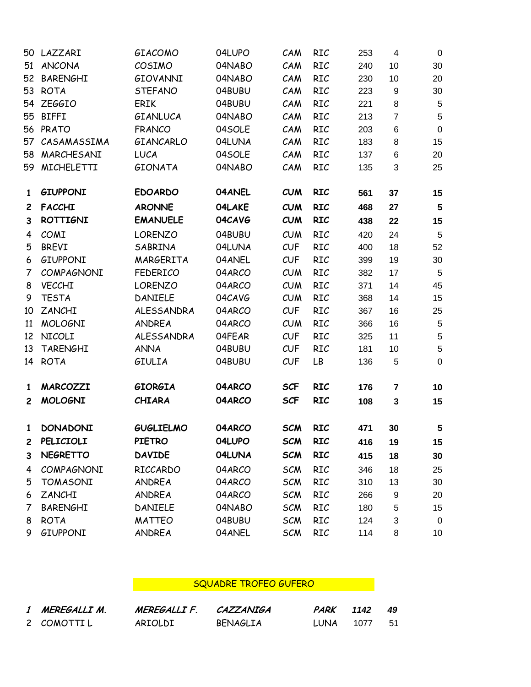|                | 50 LAZZARI      | GIACOMO           | 04LUPO | CAM        | RIC        | 253 | $\overline{4}$ | $\mathbf 0$             |
|----------------|-----------------|-------------------|--------|------------|------------|-----|----------------|-------------------------|
| 51             | <b>ANCONA</b>   | COSIMO            | 04NABO | CAM        | RIC        | 240 | 10             | 30                      |
| 52             | <b>BARENGHI</b> | GIOVANNI          | 04NABO | CAM        | RIC        | 230 | 10             | 20                      |
| 53             | <b>ROTA</b>     | <b>STEFANO</b>    | 04BUBU | CAM        | RIC        | 223 | 9              | 30                      |
|                | 54 ZEGGIO       | <b>ERIK</b>       | 04BUBU | CAM        | RIC        | 221 | 8              | $\sqrt{5}$              |
| 55             | <b>BIFFI</b>    | GIANLUCA          | 04NABO | CAM        | RIC        | 213 | $\overline{7}$ | $\sqrt{5}$              |
|                | 56 PRATO        | <b>FRANCO</b>     | 04SOLE | CAM        | RIC        | 203 | 6              | $\pmb{0}$               |
| 57             | CASAMASSIMA     | GIANCARLO         | 04LUNA | CAM        | RIC        | 183 | 8              | 15                      |
|                | 58 MARCHESANI   | <b>LUCA</b>       | 04SOLE | CAM        | RIC        | 137 | $\,6$          | 20                      |
|                | 59 MICHELETTI   | <b>GIONATA</b>    | 04NABO | CAM        | RIC        | 135 | 3              | 25                      |
| 1              | <b>GIUPPONI</b> | <b>EDOARDO</b>    | 04ANEL | <b>CUM</b> | <b>RIC</b> | 561 | 37             | 15                      |
| $\mathbf{2}$   | <b>FACCHI</b>   | <b>ARONNE</b>     | 04LAKE | <b>CUM</b> | <b>RIC</b> | 468 | 27             | $\overline{\mathbf{5}}$ |
| 3              | <b>ROTTIGNI</b> | <b>EMANUELE</b>   | 04CAVG | <b>CUM</b> | <b>RIC</b> | 438 | 22             | 15                      |
| 4              | COMI            | <b>LORENZO</b>    | 04BUBU | CUM        | RIC        | 420 | 24             | 5                       |
| 5              | <b>BREVI</b>    | SABRINA           | 04LUNA | CUF        | RIC        | 400 | 18             | 52                      |
| 6              | GIUPPONI        | MARGERITA         | 04ANEL | CUF        | RIC        | 399 | 19             | 30                      |
| 7              | COMPAGNONI      | <b>FEDERICO</b>   | 04ARCO | <b>CUM</b> | RIC        | 382 | 17             | 5                       |
| 8              | <b>VECCHI</b>   | <b>LORENZO</b>    | 04ARCO | CUM        | RIC        | 371 | 14             | 45                      |
| 9              | <b>TESTA</b>    | DANIELE           | 04CAVG | CUM        | RIC        | 368 | 14             | 15                      |
| 10             | ZANCHI          | <b>ALESSANDRA</b> | 04ARCO | CUF        | RIC        | 367 | 16             | 25                      |
| 11             | <b>MOLOGNI</b>  | ANDREA            | 04ARCO | <b>CUM</b> | RIC        | 366 | 16             | $\overline{5}$          |
| 12             | NICOLI          | <b>ALESSANDRA</b> | 04FEAR | CUF        | RIC        | 325 | 11             | $\sqrt{5}$              |
| 13             | <b>TARENGHI</b> | <b>ANNA</b>       | 04BUBU | CUF        | RIC        | 181 | 10             | $\sqrt{5}$              |
| 14             | <b>ROTA</b>     | <b>GIULIA</b>     | 04BUBU | CUF        | LB         | 136 | 5              | $\pmb{0}$               |
| 1              | MARCOZZI        | <b>GIORGIA</b>    | 04ARCO | <b>SCF</b> | <b>RIC</b> | 176 | 7              | 10                      |
| $\mathbf{2}$   | <b>MOLOGNI</b>  | <b>CHIARA</b>     | 04ARCO | <b>SCF</b> | <b>RIC</b> | 108 | $\mathbf 3$    | 15                      |
| $\mathbf{1}$   | <b>DONADONI</b> | <b>GUGLIELMO</b>  | 04ARCO | <b>SCM</b> | <b>RIC</b> | 471 | 30             | $\sqrt{5}$              |
| $\overline{c}$ | PELICIOLI       | <b>PIETRO</b>     | 04LUPO | <b>SCM</b> | <b>RIC</b> | 416 | 19             | 15                      |
| 3              | <b>NEGRETTO</b> | <b>DAVIDE</b>     | 04LUNA | <b>SCM</b> | <b>RIC</b> | 415 | 18             | 30                      |
| 4              | COMPAGNONI      | RICCARDO          | 04ARCO | <b>SCM</b> | RIC        | 346 | 18             | 25                      |
| 5              | <b>TOMASONI</b> | ANDREA            | 04ARCO | <b>SCM</b> | RIC        | 310 | 13             | 30                      |
| 6              | ZANCHI          | <b>ANDREA</b>     | 04ARCO | <b>SCM</b> | RIC        | 266 | 9              | 20                      |
| 7              | <b>BARENGHI</b> | <b>DANIELE</b>    | 04NABO | <b>SCM</b> | RIC        | 180 | 5              | 15                      |
| 8              | <b>ROTA</b>     | <b>MATTEO</b>     | 04BUBU | <b>SCM</b> | RIC        | 124 | 3              | $\mathbf 0$             |
| 9              | GIUPPONI        | ANDREA            | 04ANEL | <b>SCM</b> | RIC        | 114 | 8              | 10                      |
|                |                 |                   |        |            |            |     |                |                         |

## SQUADRE TROFEO GUFERO AND ANNOUNCE

| 1 MEREGALLI M. | MEREGALLI F. | CAZZANIGA       | <i>PARK</i> 1142 49 |        |      |
|----------------|--------------|-----------------|---------------------|--------|------|
| 2 COMOTTIL     | ARIOLDI      | <b>BENAGLIA</b> | LUNA –              | - 1077 | - 51 |